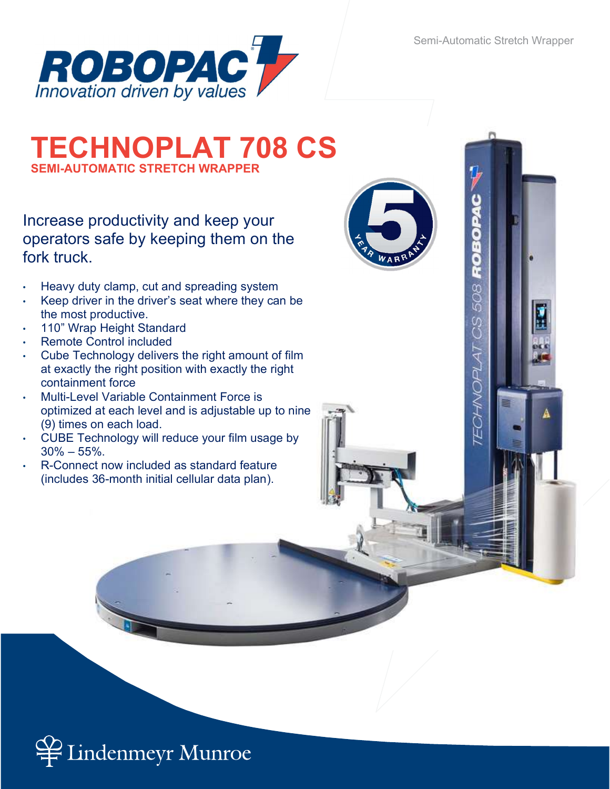Semi-Automatic Stretch Wrapper

**TECHNOPLAT CS 508 ROBOPAC** 



## TECHNOPLAT 708 CS SEMI-AUTOMATIC STRETCH WRAPPER

Increase productivity and keep your operators safe by keeping them on the fork truck.

- Heavy duty clamp, cut and spreading system
- Keep driver in the driver's seat where they can be the most productive.
- 110" Wrap Height Standard
- Remote Control included
- Cube Technology delivers the right amount of film at exactly the right position with exactly the right containment force
- Multi-Level Variable Containment Force is optimized at each level and is adjustable up to nine (9) times on each load.
- CUBE Technology will reduce your film usage by  $30\% - 55\%$ .
- R-Connect now included as standard feature (includes 36-month initial cellular data plan).



indenmeyr Munroe